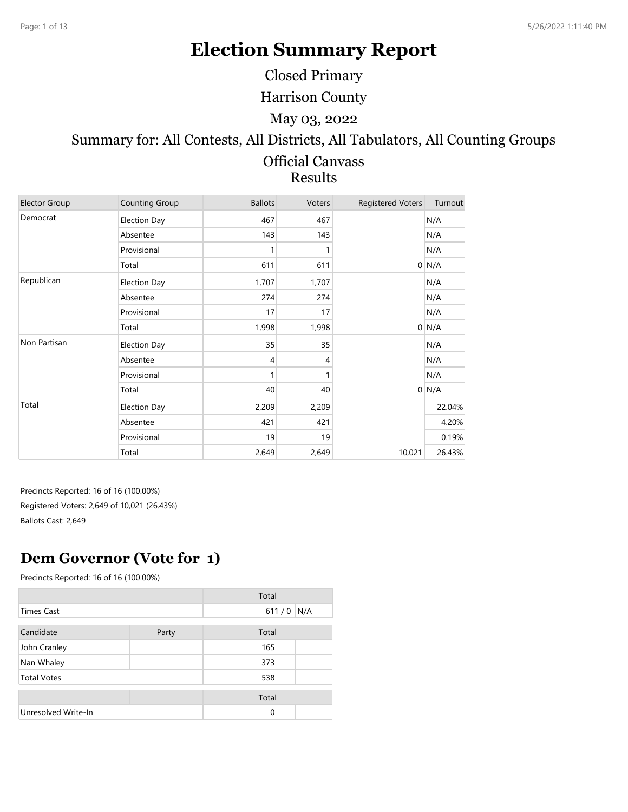# **Election Summary Report**

Closed Primary

Harrison County

May 03, 2022

# Summary for: All Contests, All Districts, All Tabulators, All Counting Groups

#### Official Canvass Results

| <b>Elector Group</b> | <b>Counting Group</b> | <b>Ballots</b> | Voters | <b>Registered Voters</b> | Turnout |
|----------------------|-----------------------|----------------|--------|--------------------------|---------|
| Democrat             | <b>Election Day</b>   | 467            | 467    |                          | N/A     |
|                      | Absentee              | 143            | 143    |                          | N/A     |
|                      | Provisional           | 1              |        |                          | N/A     |
|                      | Total                 | 611            | 611    |                          | $0$ N/A |
| Republican           | <b>Election Day</b>   | 1,707          | 1,707  |                          | N/A     |
|                      | Absentee              | 274            | 274    |                          | N/A     |
|                      | Provisional           | 17             | 17     |                          | N/A     |
|                      | Total                 | 1,998          | 1,998  |                          | $0$ N/A |
| Non Partisan         | <b>Election Day</b>   | 35             | 35     |                          | N/A     |
|                      | Absentee              | $\overline{4}$ | 4      |                          | N/A     |
|                      | Provisional           | 1              | 1      |                          | N/A     |
|                      | Total                 | 40             | 40     |                          | $0$ N/A |
| Total                | <b>Election Day</b>   | 2,209          | 2,209  |                          | 22.04%  |
|                      | Absentee              | 421            | 421    |                          | 4.20%   |
|                      | Provisional           | 19             | 19     |                          | 0.19%   |
|                      | Total                 | 2,649          | 2,649  | 10,021                   | 26.43%  |

Precincts Reported: 16 of 16 (100.00%) Registered Voters: 2,649 of 10,021 (26.43%) Ballots Cast: 2,649

## **Dem Governor (Vote for 1)**

|                     |       | Total        |  |
|---------------------|-------|--------------|--|
| <b>Times Cast</b>   |       | 611/0<br>N/A |  |
|                     |       |              |  |
| Candidate           | Party | Total        |  |
| John Cranley        |       | 165          |  |
| Nan Whaley          |       | 373          |  |
| <b>Total Votes</b>  |       | 538          |  |
|                     |       |              |  |
|                     |       | Total        |  |
| Unresolved Write-In |       | $\Omega$     |  |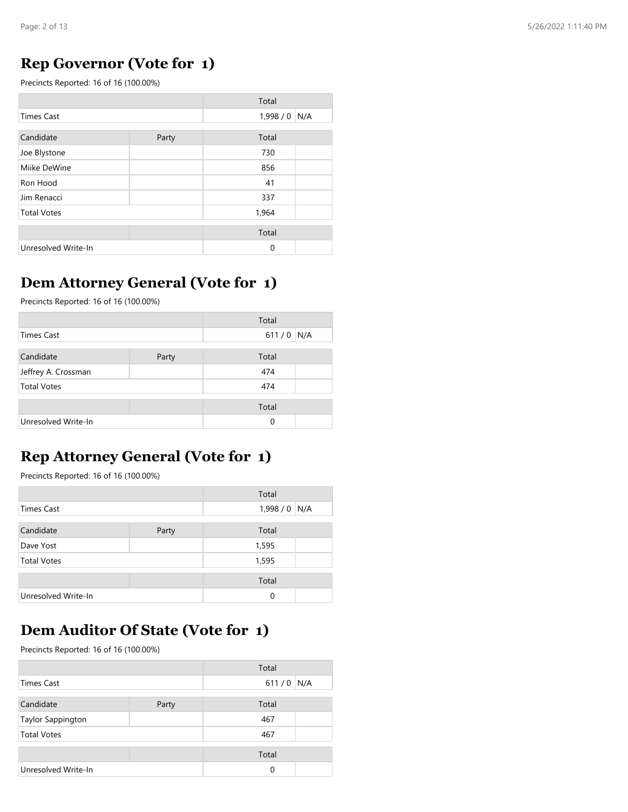#### **Rep Governor (Vote for 1)**

Precincts Reported: 16 of 16 (100.00%)

|                     |       | Total         |  |
|---------------------|-------|---------------|--|
| <b>Times Cast</b>   |       | 1,998 / 0 N/A |  |
| Candidate           | Party | Total         |  |
| Joe Blystone        |       | 730           |  |
| Miike DeWine        |       | 856           |  |
| Ron Hood            |       | 41            |  |
| Jim Renacci         |       | 337           |  |
| <b>Total Votes</b>  |       | 1,964         |  |
|                     |       | Total         |  |
| Unresolved Write-In |       | 0             |  |

#### **Dem Attorney General (Vote for 1)**

Precincts Reported: 16 of 16 (100.00%)

|                     |       | Total    |     |
|---------------------|-------|----------|-----|
| <b>Times Cast</b>   |       | 611/0    | N/A |
| Candidate           |       | Total    |     |
|                     | Party |          |     |
| Jeffrey A. Crossman |       | 474      |     |
| <b>Total Votes</b>  |       | 474      |     |
|                     |       | Total    |     |
|                     |       |          |     |
| Unresolved Write-In |       | $\Omega$ |     |

## **Rep Attorney General (Vote for 1)**

Precincts Reported: 16 of 16 (100.00%)

|                     |       | Total         |  |
|---------------------|-------|---------------|--|
| Times Cast          |       | 1,998 / 0 N/A |  |
|                     |       |               |  |
| Candidate           | Party | Total         |  |
| Dave Yost           |       | 1,595         |  |
| <b>Total Votes</b>  |       | 1,595         |  |
|                     |       | Total         |  |
| Unresolved Write-In |       | $\Omega$      |  |

## **Dem Auditor Of State (Vote for 1)**

|                     |       | Total |     |
|---------------------|-------|-------|-----|
| <b>Times Cast</b>   |       | 611/0 | N/A |
|                     |       |       |     |
| Candidate           | Party | Total |     |
| Taylor Sappington   |       | 467   |     |
| <b>Total Votes</b>  |       | 467   |     |
|                     |       |       |     |
|                     |       | Total |     |
| Unresolved Write-In |       | 0     |     |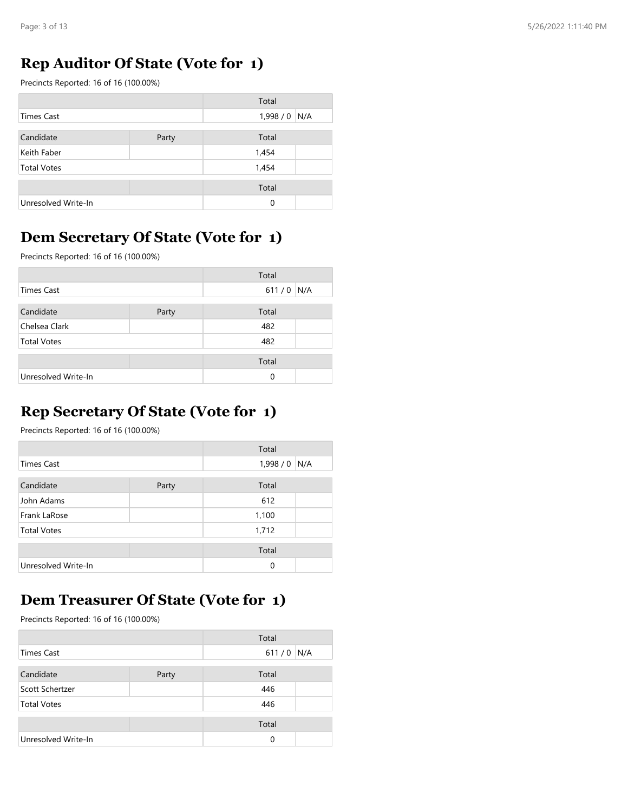#### **Rep Auditor Of State (Vote for 1)**

Precincts Reported: 16 of 16 (100.00%)

|                     |       | Total         |  |
|---------------------|-------|---------------|--|
| Times Cast          |       | $1,998/0$ N/A |  |
| Candidate           | Party | Total         |  |
| Keith Faber         |       | 1,454         |  |
| <b>Total Votes</b>  |       | 1,454         |  |
|                     |       | Total         |  |
| Unresolved Write-In |       | $\Omega$      |  |

#### **Dem Secretary Of State (Vote for 1)**

Precincts Reported: 16 of 16 (100.00%)

|                     |       | Total |     |
|---------------------|-------|-------|-----|
| Times Cast          |       | 611/0 | N/A |
| Candidate           | Party | Total |     |
| Chelsea Clark       |       | 482   |     |
| <b>Total Votes</b>  |       | 482   |     |
|                     |       | Total |     |
| Unresolved Write-In |       | 0     |     |

## **Rep Secretary Of State (Vote for 1)**

Precincts Reported: 16 of 16 (100.00%)

|                     |       | Total          |  |
|---------------------|-------|----------------|--|
| Times Cast          |       | 1,998/0<br>N/A |  |
| Candidate           | Party | Total          |  |
| John Adams          |       | 612            |  |
| Frank LaRose        |       | 1,100          |  |
| <b>Total Votes</b>  |       | 1,712          |  |
|                     |       | Total          |  |
| Unresolved Write-In |       | 0              |  |

#### **Dem Treasurer Of State (Vote for 1)**

|                     |       | Total    |     |
|---------------------|-------|----------|-----|
| <b>Times Cast</b>   |       | 611/0    | N/A |
|                     |       |          |     |
| Candidate           | Party | Total    |     |
| Scott Schertzer     |       | 446      |     |
| <b>Total Votes</b>  |       | 446      |     |
|                     |       |          |     |
|                     |       | Total    |     |
| Unresolved Write-In |       | $\Omega$ |     |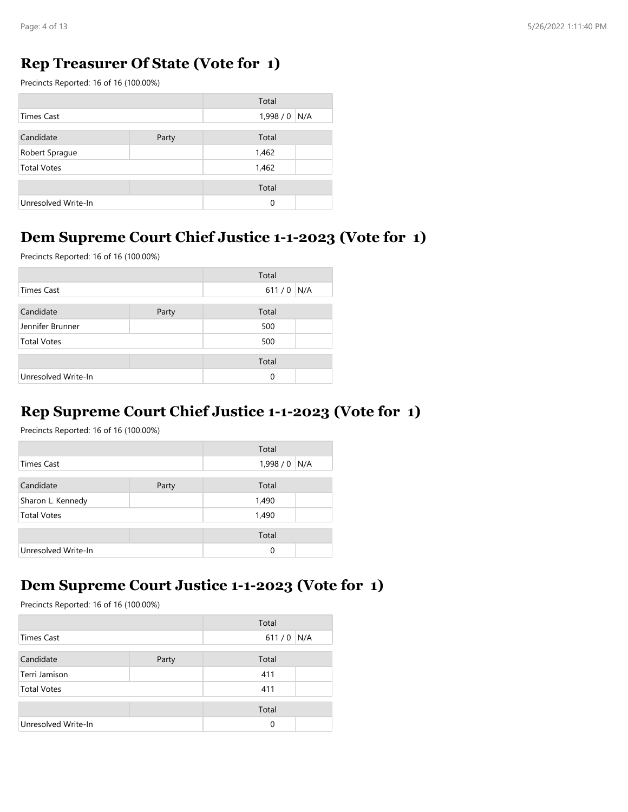### **Rep Treasurer Of State (Vote for 1)**

Precincts Reported: 16 of 16 (100.00%)

|                     |       | Total          |  |
|---------------------|-------|----------------|--|
| Times Cast          |       | 1,998/0<br>N/A |  |
| Candidate           | Party | Total          |  |
| Robert Sprague      |       | 1,462          |  |
| <b>Total Votes</b>  |       | 1,462          |  |
|                     |       | Total          |  |
| Unresolved Write-In |       | $\mathbf 0$    |  |

#### **Dem Supreme Court Chief Justice 1-1-2023 (Vote for 1)**

Precincts Reported: 16 of 16 (100.00%)

|                     |       | Total |     |
|---------------------|-------|-------|-----|
| <b>Times Cast</b>   |       | 611/0 | N/A |
|                     |       |       |     |
| Candidate           | Party | Total |     |
| Jennifer Brunner    |       | 500   |     |
| <b>Total Votes</b>  |       | 500   |     |
|                     |       |       |     |
|                     |       | Total |     |
| Unresolved Write-In |       | 0     |     |

## **Rep Supreme Court Chief Justice 1-1-2023 (Vote for 1)**

Precincts Reported: 16 of 16 (100.00%)

|                     |       | Total         |  |
|---------------------|-------|---------------|--|
| Times Cast          |       | $1,998/0$ N/A |  |
| Candidate           | Party | Total         |  |
| Sharon L. Kennedy   |       | 1,490         |  |
| <b>Total Votes</b>  |       | 1,490         |  |
|                     |       | Total         |  |
| Unresolved Write-In |       | 0             |  |

#### **Dem Supreme Court Justice 1-1-2023 (Vote for 1)**

|                     |       | Total    |     |
|---------------------|-------|----------|-----|
| <b>Times Cast</b>   |       | 611/0    | N/A |
|                     |       |          |     |
| Candidate           | Party | Total    |     |
| Terri Jamison       |       | 411      |     |
| <b>Total Votes</b>  |       | 411      |     |
|                     |       | Total    |     |
| Unresolved Write-In |       | $\Omega$ |     |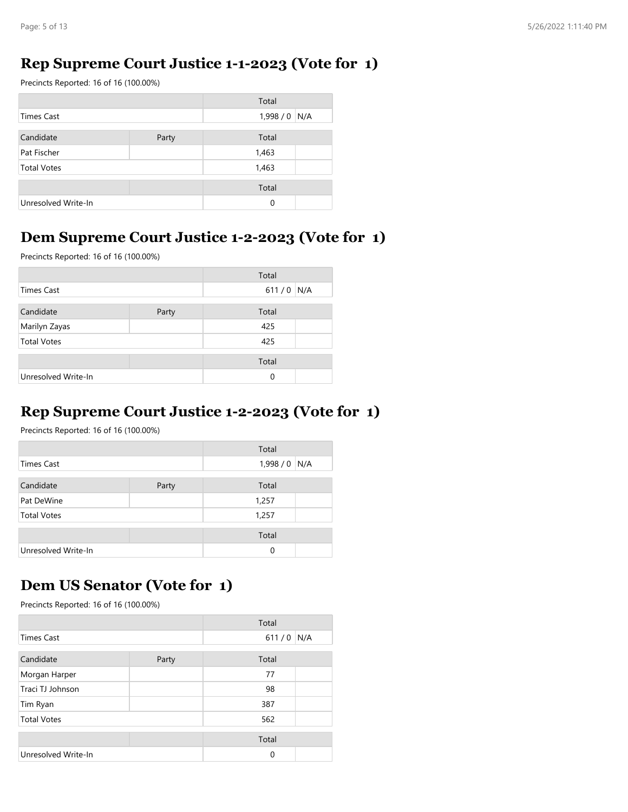#### **Rep Supreme Court Justice 1-1-2023 (Vote for 1)**

Precincts Reported: 16 of 16 (100.00%)

|                     |       | Total         |  |
|---------------------|-------|---------------|--|
| <b>Times Cast</b>   |       | $1,998/0$ N/A |  |
| Candidate           | Party | Total         |  |
| Pat Fischer         |       | 1,463         |  |
| <b>Total Votes</b>  |       | 1,463         |  |
|                     |       | Total         |  |
| Unresolved Write-In |       | 0             |  |

#### **Dem Supreme Court Justice 1-2-2023 (Vote for 1)**

Precincts Reported: 16 of 16 (100.00%)

|                     |       | Total |     |
|---------------------|-------|-------|-----|
| <b>Times Cast</b>   |       | 611/0 | N/A |
| Candidate           | Party | Total |     |
| Marilyn Zayas       |       | 425   |     |
| <b>Total Votes</b>  |       | 425   |     |
|                     |       | Total |     |
| Unresolved Write-In |       | 0     |     |

#### **Rep Supreme Court Justice 1-2-2023 (Vote for 1)**

Precincts Reported: 16 of 16 (100.00%)

|                     |       | Total         |  |
|---------------------|-------|---------------|--|
| <b>Times Cast</b>   |       | 1,998 / 0 N/A |  |
| Candidate           | Party | Total         |  |
| Pat DeWine          |       | 1,257         |  |
| <b>Total Votes</b>  |       | 1,257         |  |
|                     |       | Total         |  |
| Unresolved Write-In |       | 0             |  |

#### **Dem US Senator (Vote for 1)**

|                     |       | Total       |  |
|---------------------|-------|-------------|--|
| <b>Times Cast</b>   |       | $611/0$ N/A |  |
| Candidate           | Party | Total       |  |
| Morgan Harper       |       | 77          |  |
| Traci TJ Johnson    |       | 98          |  |
| Tim Ryan            |       | 387         |  |
| <b>Total Votes</b>  |       | 562         |  |
|                     |       | Total       |  |
| Unresolved Write-In |       | 0           |  |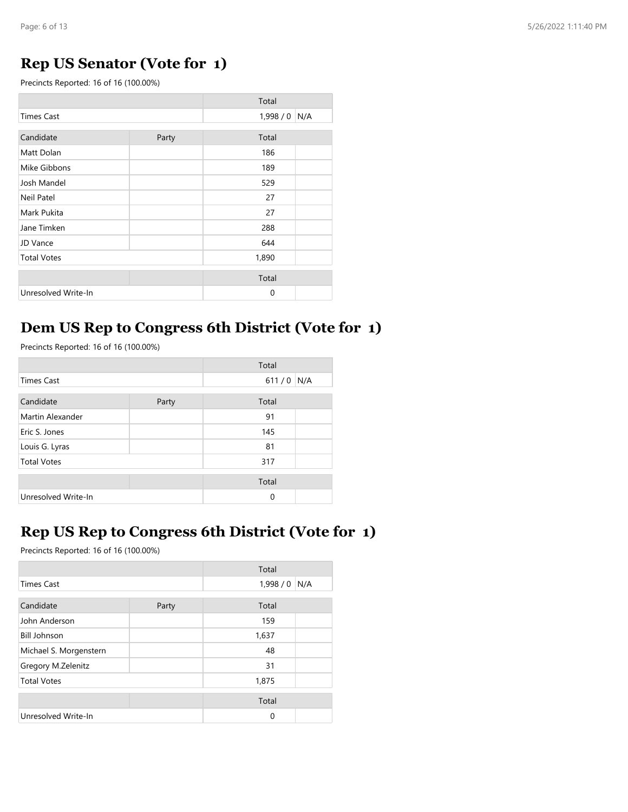## **Rep US Senator (Vote for 1)**

Precincts Reported: 16 of 16 (100.00%)

|                     |       | Total   |     |
|---------------------|-------|---------|-----|
| <b>Times Cast</b>   |       | 1,998/0 | N/A |
| Candidate           | Party | Total   |     |
| Matt Dolan          |       | 186     |     |
| Mike Gibbons        |       | 189     |     |
| Josh Mandel         |       | 529     |     |
| Neil Patel          |       | 27      |     |
| Mark Pukita         |       | 27      |     |
| Jane Timken         |       | 288     |     |
| JD Vance            |       | 644     |     |
| <b>Total Votes</b>  |       | 1,890   |     |
|                     |       | Total   |     |
| Unresolved Write-In |       | 0       |     |

#### **Dem US Rep to Congress 6th District (Vote for 1)**

Precincts Reported: 16 of 16 (100.00%)

|                     |       | Total |     |
|---------------------|-------|-------|-----|
| <b>Times Cast</b>   |       | 611/0 | N/A |
| Candidate           | Party | Total |     |
| Martin Alexander    |       | 91    |     |
| Eric S. Jones       |       | 145   |     |
| Louis G. Lyras      |       | 81    |     |
| <b>Total Votes</b>  |       | 317   |     |
|                     |       | Total |     |
| Unresolved Write-In |       | 0     |     |

#### **Rep US Rep to Congress 6th District (Vote for 1)**

|                        |       | Total   |     |
|------------------------|-------|---------|-----|
| <b>Times Cast</b>      |       | 1,998/0 | N/A |
|                        |       |         |     |
| Candidate              | Party | Total   |     |
| John Anderson          |       | 159     |     |
| <b>Bill Johnson</b>    |       | 1,637   |     |
| Michael S. Morgenstern |       | 48      |     |
| Gregory M.Zelenitz     |       | 31      |     |
| <b>Total Votes</b>     |       | 1,875   |     |
|                        |       |         |     |
|                        |       | Total   |     |
| Unresolved Write-In    |       | 0       |     |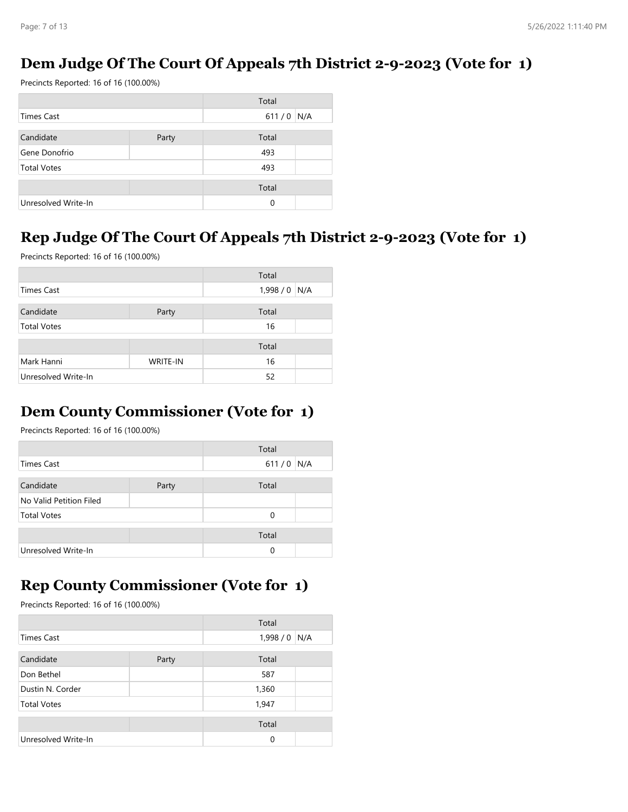## **Dem Judge Of The Court Of Appeals 7th District 2-9-2023 (Vote for 1)**

Precincts Reported: 16 of 16 (100.00%)

|                     |       | Total |     |
|---------------------|-------|-------|-----|
| Times Cast          |       | 611/0 | N/A |
|                     |       |       |     |
| Candidate           | Party | Total |     |
| Gene Donofrio       |       | 493   |     |
| <b>Total Votes</b>  |       | 493   |     |
|                     |       |       |     |
|                     |       | Total |     |
| Unresolved Write-In |       | 0     |     |

## **Rep Judge Of The Court Of Appeals 7th District 2-9-2023 (Vote for 1)**

Precincts Reported: 16 of 16 (100.00%)

|                     |                 | Total          |
|---------------------|-----------------|----------------|
| <b>Times Cast</b>   |                 | 1,998/0<br>N/A |
|                     |                 |                |
| Candidate           | Party           | Total          |
| <b>Total Votes</b>  |                 | 16             |
|                     |                 |                |
|                     |                 | Total          |
| Mark Hanni          | <b>WRITE-IN</b> | 16             |
| Unresolved Write-In |                 | 52             |

## **Dem County Commissioner (Vote for 1)**

Precincts Reported: 16 of 16 (100.00%)

|                         |       | Total |     |
|-------------------------|-------|-------|-----|
| Times Cast              |       | 611/0 | N/A |
|                         |       |       |     |
| Candidate               | Party | Total |     |
| No Valid Petition Filed |       |       |     |
| <b>Total Votes</b>      |       | 0     |     |
|                         |       |       |     |
|                         |       | Total |     |
| Unresolved Write-In     |       | 0     |     |

#### **Rep County Commissioner (Vote for 1)**

| Total               |       |          |     |
|---------------------|-------|----------|-----|
| <b>Times Cast</b>   |       | 1,998/0  | N/A |
|                     |       |          |     |
| Candidate           | Party | Total    |     |
| Don Bethel          |       | 587      |     |
| Dustin N. Corder    |       | 1,360    |     |
| <b>Total Votes</b>  |       | 1,947    |     |
|                     |       |          |     |
|                     |       | Total    |     |
| Unresolved Write-In |       | $\Omega$ |     |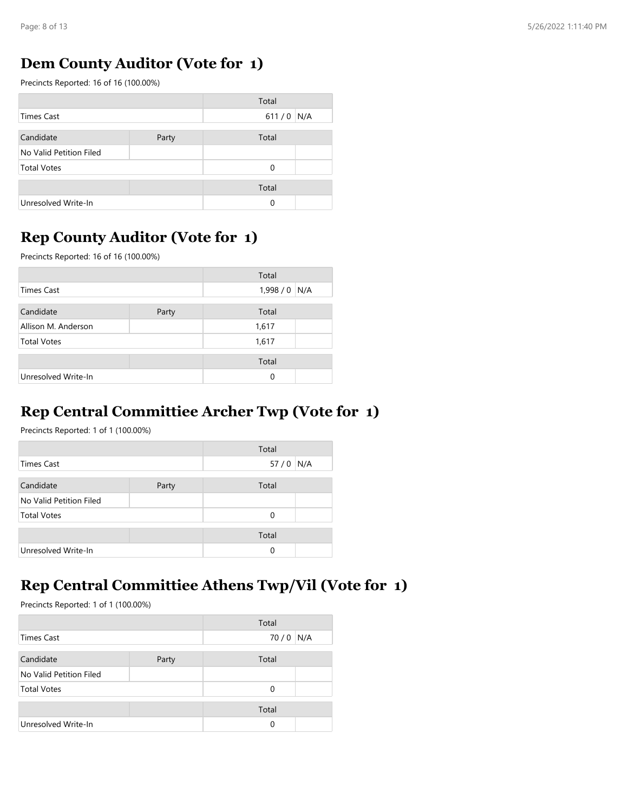### **Dem County Auditor (Vote for 1)**

Precincts Reported: 16 of 16 (100.00%)

|                         |       | Total |     |
|-------------------------|-------|-------|-----|
| Times Cast              |       | 611/0 | N/A |
|                         |       |       |     |
| Candidate               | Party | Total |     |
| No Valid Petition Filed |       |       |     |
| <b>Total Votes</b>      |       | 0     |     |
|                         |       |       |     |
|                         |       | Total |     |
| Unresolved Write-In     |       | 0     |     |

## **Rep County Auditor (Vote for 1)**

Precincts Reported: 16 of 16 (100.00%)

|                     |       | Total    |     |
|---------------------|-------|----------|-----|
| Times Cast          |       | 1,998/0  | N/A |
| Candidate           | Party | Total    |     |
| Allison M. Anderson |       | 1,617    |     |
| <b>Total Votes</b>  |       | 1,617    |     |
|                     |       | Total    |     |
| Unresolved Write-In |       | $\Omega$ |     |

## **Rep Central Committiee Archer Twp (Vote for 1)**

Precincts Reported: 1 of 1 (100.00%)

|                         |       | Total        |  |
|-------------------------|-------|--------------|--|
| Times Cast              |       | 57 / 0   N/A |  |
| Candidate               | Party | Total        |  |
| No Valid Petition Filed |       |              |  |
| <b>Total Votes</b>      |       | $\Omega$     |  |
|                         |       | Total        |  |
| Unresolved Write-In     |       | $\Omega$     |  |

#### **Rep Central Committiee Athens Twp/Vil (Vote for 1)**

|                         |       | Total |     |
|-------------------------|-------|-------|-----|
| Times Cast              |       | 70/0  | N/A |
|                         |       |       |     |
| Candidate               | Party | Total |     |
| No Valid Petition Filed |       |       |     |
| <b>Total Votes</b>      |       | 0     |     |
|                         |       | Total |     |
| Unresolved Write-In     |       | 0     |     |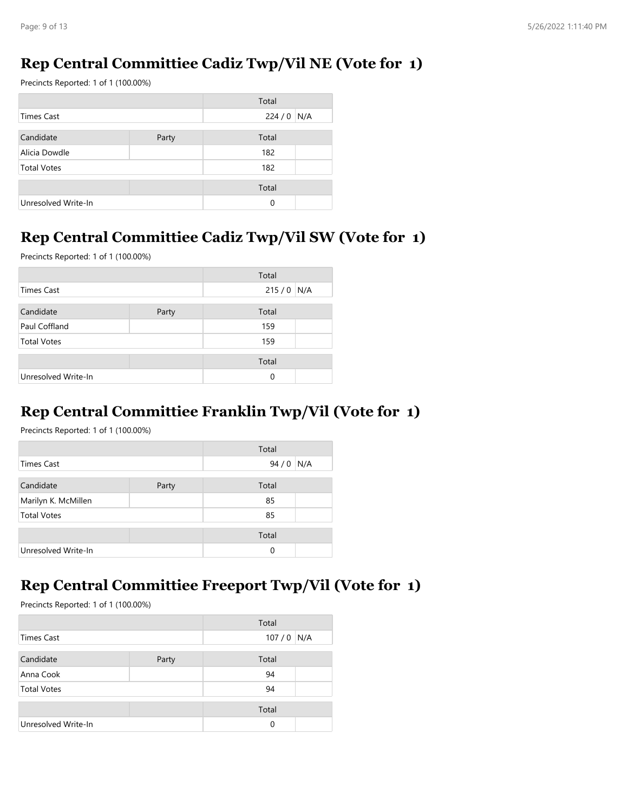## **Rep Central Committiee Cadiz Twp/Vil NE (Vote for 1)**

Precincts Reported: 1 of 1 (100.00%)

|                     |       | Total    |     |
|---------------------|-------|----------|-----|
| Times Cast          |       | 224/0    | N/A |
|                     |       |          |     |
| Candidate           | Party | Total    |     |
| Alicia Dowdle       |       | 182      |     |
| <b>Total Votes</b>  |       | 182      |     |
|                     |       |          |     |
|                     |       | Total    |     |
| Unresolved Write-In |       | $\Omega$ |     |

## **Rep Central Committiee Cadiz Twp/Vil SW (Vote for 1)**

Precincts Reported: 1 of 1 (100.00%)

|                     |       | Total       |  |
|---------------------|-------|-------------|--|
| <b>Times Cast</b>   |       | $215/0$ N/A |  |
|                     |       |             |  |
| Candidate           | Party | Total       |  |
| Paul Coffland       |       | 159         |  |
| <b>Total Votes</b>  |       | 159         |  |
|                     |       |             |  |
|                     |       | Total       |  |
| Unresolved Write-In |       | $\Omega$    |  |

## **Rep Central Committiee Franklin Twp/Vil (Vote for 1)**

Precincts Reported: 1 of 1 (100.00%)

|                     |       | Total |     |
|---------------------|-------|-------|-----|
| Times Cast          |       | 94/0  | N/A |
| Candidate           | Party | Total |     |
| Marilyn K. McMillen |       | 85    |     |
| <b>Total Votes</b>  |       | 85    |     |
|                     |       |       |     |
|                     |       | Total |     |
| Unresolved Write-In |       | 0     |     |

#### **Rep Central Committiee Freeport Twp/Vil (Vote for 1)**

|                     |       | Total       |  |
|---------------------|-------|-------------|--|
| Times Cast          |       | $107/0$ N/A |  |
|                     |       |             |  |
| Candidate           | Party | Total       |  |
| Anna Cook           |       | 94          |  |
| <b>Total Votes</b>  |       | 94          |  |
|                     |       |             |  |
|                     |       | Total       |  |
| Unresolved Write-In |       | $\Omega$    |  |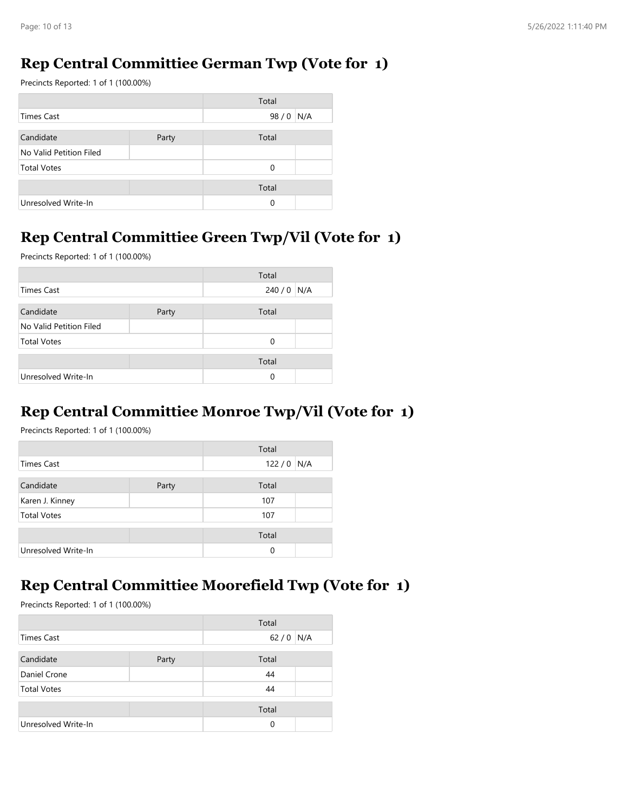#### **Rep Central Committiee German Twp (Vote for 1)**

Precincts Reported: 1 of 1 (100.00%)

|                         |       | Total |     |
|-------------------------|-------|-------|-----|
| Times Cast              |       | 98/0  | N/A |
|                         |       |       |     |
| Candidate               | Party | Total |     |
| No Valid Petition Filed |       |       |     |
| <b>Total Votes</b>      |       | 0     |     |
|                         |       |       |     |
|                         |       | Total |     |
| Unresolved Write-In     |       | 0     |     |

## **Rep Central Committiee Green Twp/Vil (Vote for 1)**

Precincts Reported: 1 of 1 (100.00%)

|                         |       | Total       |  |
|-------------------------|-------|-------------|--|
| Times Cast              |       | $240/0$ N/A |  |
|                         |       |             |  |
| Candidate               | Party | Total       |  |
| No Valid Petition Filed |       |             |  |
| <b>Total Votes</b>      |       | $\Omega$    |  |
|                         |       |             |  |
|                         |       | Total       |  |
| Unresolved Write-In     |       | $\Omega$    |  |

### **Rep Central Committiee Monroe Twp/Vil (Vote for 1)**

Precincts Reported: 1 of 1 (100.00%)

|                     |       | Total       |  |
|---------------------|-------|-------------|--|
| Times Cast          |       | $122/0$ N/A |  |
| Candidate           | Party | Total       |  |
| Karen J. Kinney     |       | 107         |  |
| <b>Total Votes</b>  |       | 107         |  |
|                     |       | Total       |  |
| Unresolved Write-In |       | $\Omega$    |  |

#### **Rep Central Committiee Moorefield Twp (Vote for 1)**

|                     |       | Total  |     |
|---------------------|-------|--------|-----|
| Times Cast          |       | $62/0$ | N/A |
|                     |       |        |     |
| Candidate           | Party | Total  |     |
| Daniel Crone        |       | 44     |     |
| <b>Total Votes</b>  |       | 44     |     |
|                     |       |        |     |
|                     |       | Total  |     |
| Unresolved Write-In |       | 0      |     |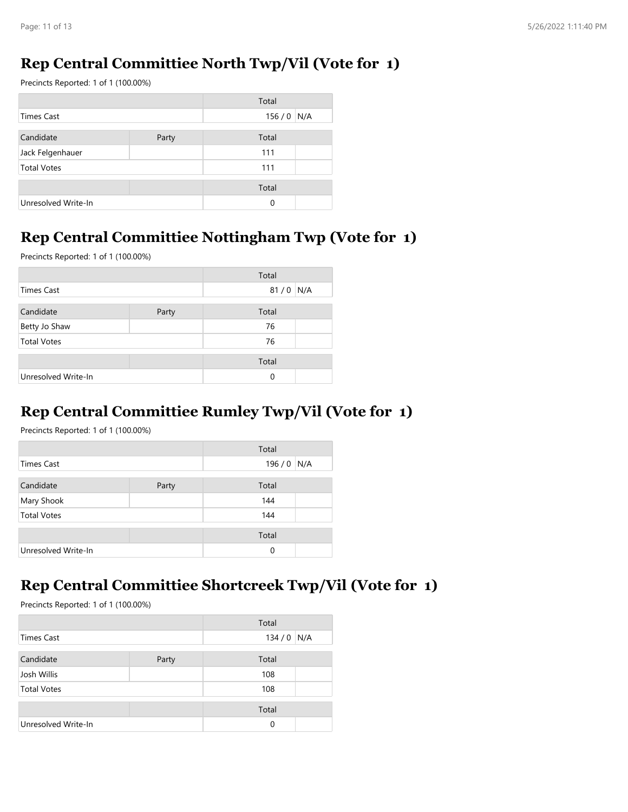## **Rep Central Committiee North Twp/Vil (Vote for 1)**

Precincts Reported: 1 of 1 (100.00%)

|                     |       | Total       |  |
|---------------------|-------|-------------|--|
| Times Cast          |       | $156/0$ N/A |  |
|                     |       |             |  |
| Candidate           | Party | Total       |  |
| Jack Felgenhauer    |       | 111         |  |
| <b>Total Votes</b>  |       | 111         |  |
|                     |       |             |  |
|                     |       | Total       |  |
| Unresolved Write-In |       | 0           |  |

#### **Rep Central Committiee Nottingham Twp (Vote for 1)**

Precincts Reported: 1 of 1 (100.00%)

|                     |       | Total |     |
|---------------------|-------|-------|-----|
| <b>Times Cast</b>   |       | 81/0  | N/A |
|                     |       |       |     |
| Candidate           | Party | Total |     |
| Betty Jo Shaw       |       | 76    |     |
| <b>Total Votes</b>  |       | 76    |     |
|                     |       |       |     |
|                     |       | Total |     |
| Unresolved Write-In |       | 0     |     |

## **Rep Central Committiee Rumley Twp/Vil (Vote for 1)**

Precincts Reported: 1 of 1 (100.00%)

|                     |       | Total |     |
|---------------------|-------|-------|-----|
| Times Cast          |       | 196/0 | N/A |
|                     |       |       |     |
| Candidate           | Party | Total |     |
| Mary Shook          |       | 144   |     |
| <b>Total Votes</b>  |       | 144   |     |
|                     |       |       |     |
|                     |       | Total |     |
| Unresolved Write-In |       | 0     |     |

#### **Rep Central Committiee Shortcreek Twp/Vil (Vote for 1)**

|                     |       | Total |     |
|---------------------|-------|-------|-----|
| <b>Times Cast</b>   |       | 134/0 | N/A |
|                     |       |       |     |
| Candidate           | Party | Total |     |
| Josh Willis         |       | 108   |     |
| <b>Total Votes</b>  |       | 108   |     |
|                     |       | Total |     |
| Unresolved Write-In |       | 0     |     |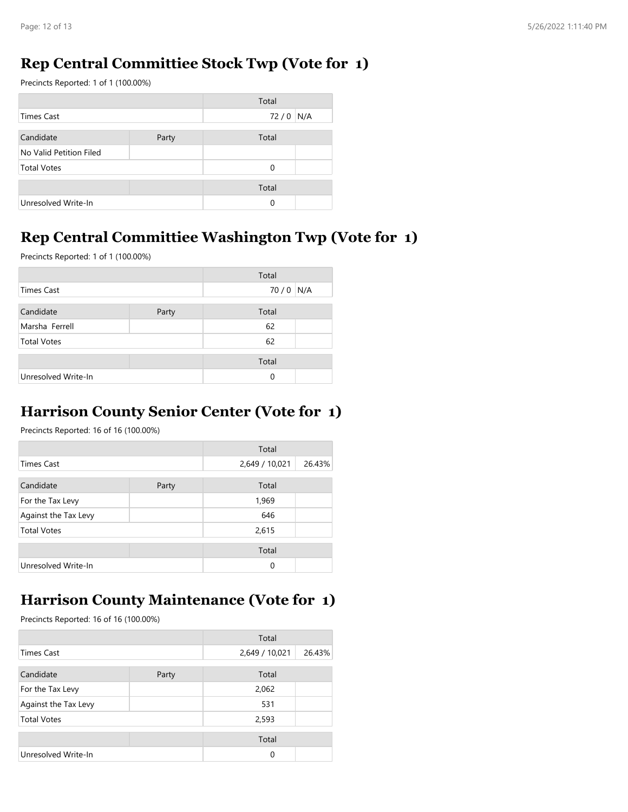#### **Rep Central Committiee Stock Twp (Vote for 1)**

Precincts Reported: 1 of 1 (100.00%)

|                         |       | Total |     |
|-------------------------|-------|-------|-----|
| Times Cast              |       | 72/0  | N/A |
|                         |       |       |     |
| Candidate               | Party | Total |     |
| No Valid Petition Filed |       |       |     |
| <b>Total Votes</b>      |       | 0     |     |
|                         |       | Total |     |
|                         |       |       |     |
| Unresolved Write-In     |       | 0     |     |

## **Rep Central Committiee Washington Twp (Vote for 1)**

Precincts Reported: 1 of 1 (100.00%)

|                     |       | Total |     |
|---------------------|-------|-------|-----|
| <b>Times Cast</b>   |       | 70/0  | N/A |
| Candidate           | Party | Total |     |
| Marsha Ferrell      |       | 62    |     |
| <b>Total Votes</b>  |       | 62    |     |
|                     |       | Total |     |
| Unresolved Write-In |       | 0     |     |

#### **Harrison County Senior Center (Vote for 1)**

Precincts Reported: 16 of 16 (100.00%)

|                      |       | Total          |        |
|----------------------|-------|----------------|--------|
| Times Cast           |       | 2,649 / 10,021 | 26.43% |
| Candidate            | Party | Total          |        |
| For the Tax Levy     |       | 1,969          |        |
| Against the Tax Levy |       | 646            |        |
| <b>Total Votes</b>   |       | 2,615          |        |
|                      |       | Total          |        |
| Unresolved Write-In  |       | $\Omega$       |        |

#### **Harrison County Maintenance (Vote for 1)**

|                      |       | Total          |        |
|----------------------|-------|----------------|--------|
| <b>Times Cast</b>    |       | 2,649 / 10,021 | 26.43% |
| Candidate            | Party | Total          |        |
| For the Tax Levy     |       | 2,062          |        |
| Against the Tax Levy |       | 531            |        |
| <b>Total Votes</b>   |       | 2,593          |        |
|                      |       | Total          |        |
| Unresolved Write-In  |       | $\Omega$       |        |